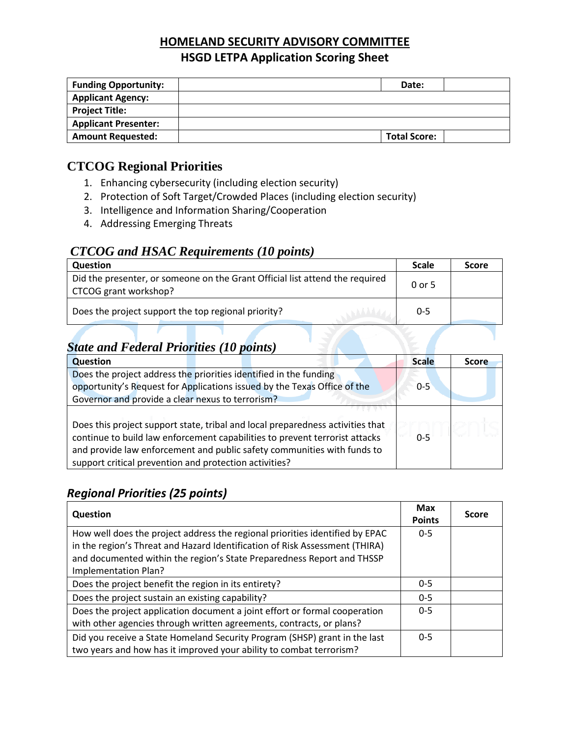# **HOMELAND SECURITY ADVISORY COMMITTEE HSGD LETPA Application Scoring Sheet**

| <b>Funding Opportunity:</b> | Date:               |
|-----------------------------|---------------------|
| <b>Applicant Agency:</b>    |                     |
| <b>Project Title:</b>       |                     |
| <b>Applicant Presenter:</b> |                     |
| <b>Amount Requested:</b>    | <b>Total Score:</b> |

# **CTCOG Regional Priorities**

- 1. Enhancing cybersecurity (including election security)
- 2. Protection of Soft Target/Crowded Places (including election security)
- 3. Intelligence and Information Sharing/Cooperation
- 4. Addressing Emerging Threats

## *CTCOG and HSAC Requirements (10 points)*

| <b>Question</b>                                                                                       |         | <b>Score</b> |
|-------------------------------------------------------------------------------------------------------|---------|--------------|
| Did the presenter, or someone on the Grant Official list attend the required<br>CTCOG grant workshop? | 0 or 5  |              |
| Does the project support the top regional priority?                                                   | $0 - 5$ |              |

# *State and Federal Priorities (10 points)*

| <b>Question</b>                                                                | <b>Scale</b> | <b>Score</b> |
|--------------------------------------------------------------------------------|--------------|--------------|
| Does the project address the priorities identified in the funding              |              |              |
| opportunity's Request for Applications issued by the Texas Office of the       | $0 - 5$      |              |
| Governor and provide a clear nexus to terrorism?                               |              |              |
|                                                                                |              |              |
| Does this project support state, tribal and local preparedness activities that |              |              |
| continue to build law enforcement capabilities to prevent terrorist attacks    | $0 - 5$      |              |
| and provide law enforcement and public safety communities with funds to        |              |              |
| support critical prevention and protection activities?                         |              |              |

## *Regional Priorities (25 points)*

| Question                                                                                                                                                                                                                                                      |         | <b>Score</b> |
|---------------------------------------------------------------------------------------------------------------------------------------------------------------------------------------------------------------------------------------------------------------|---------|--------------|
| How well does the project address the regional priorities identified by EPAC<br>in the region's Threat and Hazard Identification of Risk Assessment (THIRA)<br>and documented within the region's State Preparedness Report and THSSP<br>Implementation Plan? | $0 - 5$ |              |
| Does the project benefit the region in its entirety?                                                                                                                                                                                                          | $0 - 5$ |              |
| Does the project sustain an existing capability?                                                                                                                                                                                                              | $0 - 5$ |              |
| Does the project application document a joint effort or formal cooperation<br>with other agencies through written agreements, contracts, or plans?                                                                                                            | $0 - 5$ |              |
| Did you receive a State Homeland Security Program (SHSP) grant in the last<br>two years and how has it improved your ability to combat terrorism?                                                                                                             | $0 - 5$ |              |